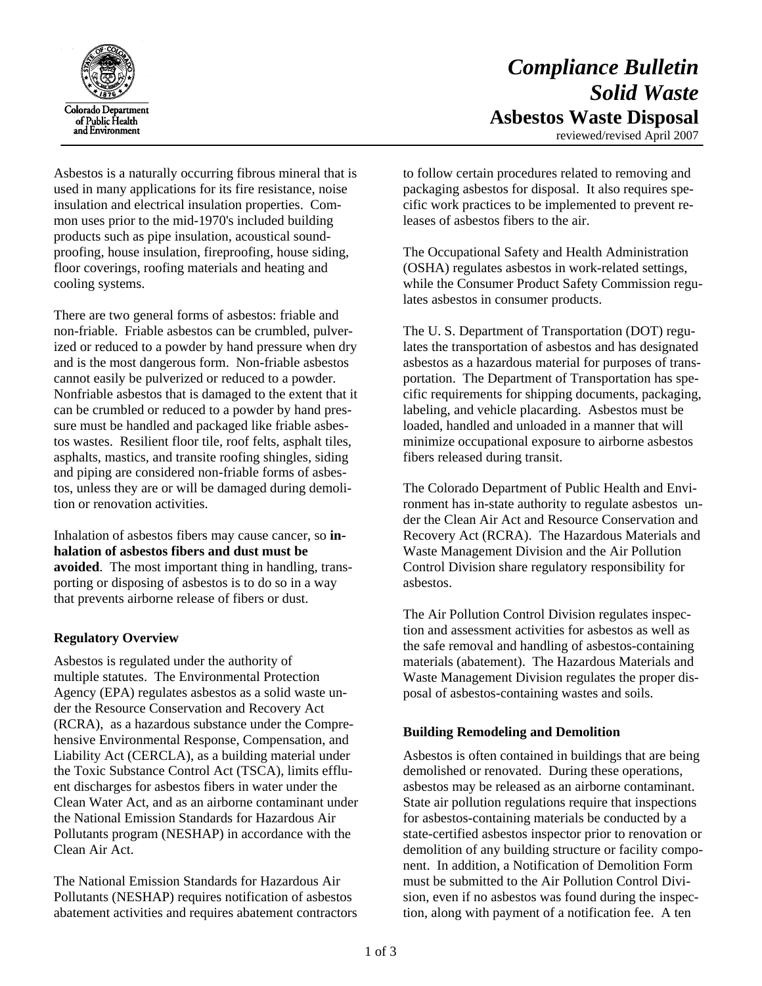

# *Compliance Bulletin Solid Waste*  **Asbestos Waste Disposal**

reviewed/revised April 2007

Asbestos is a naturally occurring fibrous mineral that is used in many applications for its fire resistance, noise insulation and electrical insulation properties. Common uses prior to the mid-1970's included building products such as pipe insulation, acoustical soundproofing, house insulation, fireproofing, house siding, floor coverings, roofing materials and heating and cooling systems.

There are two general forms of asbestos: friable and non-friable. Friable asbestos can be crumbled, pulverized or reduced to a powder by hand pressure when dry and is the most dangerous form. Non-friable asbestos cannot easily be pulverized or reduced to a powder. Nonfriable asbestos that is damaged to the extent that it can be crumbled or reduced to a powder by hand pressure must be handled and packaged like friable asbestos wastes. Resilient floor tile, roof felts, asphalt tiles, asphalts, mastics, and transite roofing shingles, siding and piping are considered non-friable forms of asbestos, unless they are or will be damaged during demolition or renovation activities.

Inhalation of asbestos fibers may cause cancer, so **inhalation of asbestos fibers and dust must be avoided**. The most important thing in handling, transporting or disposing of asbestos is to do so in a way that prevents airborne release of fibers or dust.

# **Regulatory Overview**

Asbestos is regulated under the authority of multiple statutes. The Environmental Protection Agency (EPA) regulates asbestos as a solid waste under the Resource Conservation and Recovery Act (RCRA), as a hazardous substance under the Comprehensive Environmental Response, Compensation, and Liability Act (CERCLA), as a building material under the Toxic Substance Control Act (TSCA), limits effluent discharges for asbestos fibers in water under the Clean Water Act, and as an airborne contaminant under the National Emission Standards for Hazardous Air Pollutants program (NESHAP) in accordance with the Clean Air Act.

The National Emission Standards for Hazardous Air Pollutants (NESHAP) requires notification of asbestos abatement activities and requires abatement contractors to follow certain procedures related to removing and packaging asbestos for disposal. It also requires specific work practices to be implemented to prevent releases of asbestos fibers to the air.

The Occupational Safety and Health Administration (OSHA) regulates asbestos in work-related settings, while the Consumer Product Safety Commission regulates asbestos in consumer products.

The U. S. Department of Transportation (DOT) regulates the transportation of asbestos and has designated asbestos as a hazardous material for purposes of transportation. The Department of Transportation has specific requirements for shipping documents, packaging, labeling, and vehicle placarding. Asbestos must be loaded, handled and unloaded in a manner that will minimize occupational exposure to airborne asbestos fibers released during transit.

The Colorado Department of Public Health and Environment has in-state authority to regulate asbestos under the Clean Air Act and Resource Conservation and Recovery Act (RCRA). The Hazardous Materials and Waste Management Division and the Air Pollution Control Division share regulatory responsibility for asbestos.

The Air Pollution Control Division regulates inspection and assessment activities for asbestos as well as the safe removal and handling of asbestos-containing materials (abatement). The Hazardous Materials and Waste Management Division regulates the proper disposal of asbestos-containing wastes and soils.

# **Building Remodeling and Demolition**

Asbestos is often contained in buildings that are being demolished or renovated. During these operations, asbestos may be released as an airborne contaminant. State air pollution regulations require that inspections for asbestos-containing materials be conducted by a state-certified asbestos inspector prior to renovation or demolition of any building structure or facility component. In addition, a Notification of Demolition Form must be submitted to the Air Pollution Control Division, even if no asbestos was found during the inspection, along with payment of a notification fee. A ten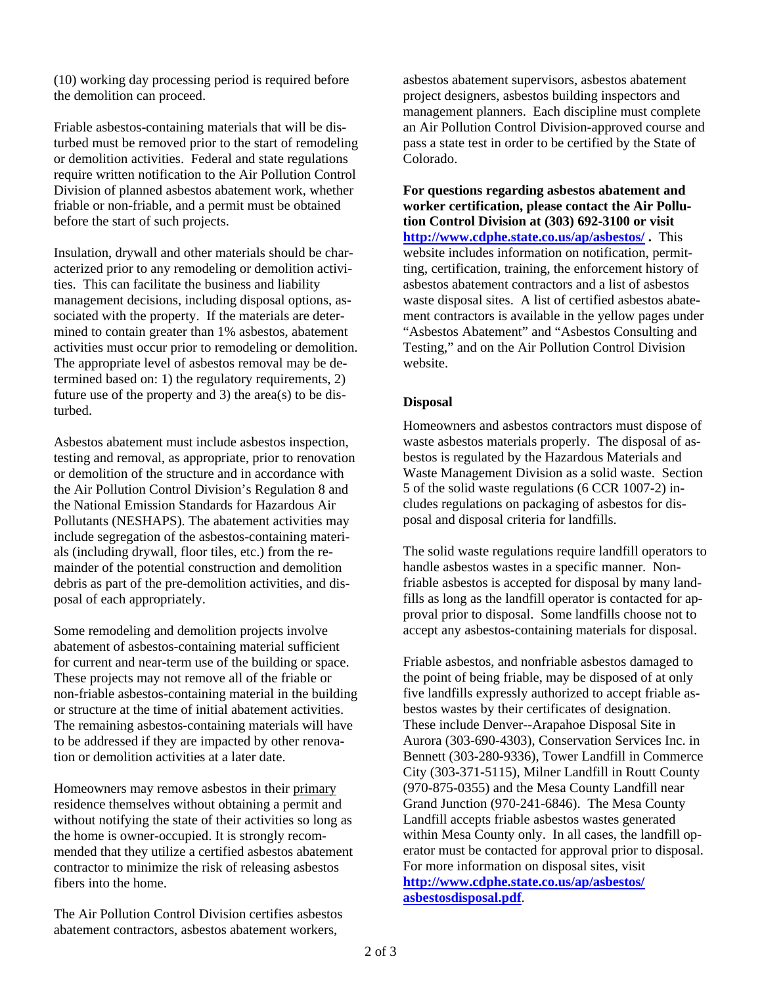(10) working day processing period is required before the demolition can proceed.

Friable asbestos-containing materials that will be disturbed must be removed prior to the start of remodeling or demolition activities. Federal and state regulations require written notification to the Air Pollution Control Division of planned asbestos abatement work, whether friable or non-friable, and a permit must be obtained before the start of such projects.

Insulation, drywall and other materials should be characterized prior to any remodeling or demolition activities. This can facilitate the business and liability management decisions, including disposal options, associated with the property. If the materials are determined to contain greater than 1% asbestos, abatement activities must occur prior to remodeling or demolition. The appropriate level of asbestos removal may be determined based on: 1) the regulatory requirements, 2) future use of the property and 3) the area(s) to be disturbed.

Asbestos abatement must include asbestos inspection, testing and removal, as appropriate, prior to renovation or demolition of the structure and in accordance with the Air Pollution Control Division's Regulation 8 and the National Emission Standards for Hazardous Air Pollutants (NESHAPS). The abatement activities may include segregation of the asbestos-containing materials (including drywall, floor tiles, etc.) from the remainder of the potential construction and demolition debris as part of the pre-demolition activities, and disposal of each appropriately.

Some remodeling and demolition projects involve abatement of asbestos-containing material sufficient for current and near-term use of the building or space. These projects may not remove all of the friable or non-friable asbestos-containing material in the building or structure at the time of initial abatement activities. The remaining asbestos-containing materials will have to be addressed if they are impacted by other renovation or demolition activities at a later date.

Homeowners may remove asbestos in their primary residence themselves without obtaining a permit and without notifying the state of their activities so long as the home is owner-occupied. It is strongly recommended that they utilize a certified asbestos abatement contractor to minimize the risk of releasing asbestos fibers into the home.

The Air Pollution Control Division certifies asbestos abatement contractors, asbestos abatement workers,

asbestos abatement supervisors, asbestos abatement project designers, asbestos building inspectors and management planners. Each discipline must complete an Air Pollution Control Division-approved course and pass a state test in order to be certified by the State of Colorado.

**For questions regarding asbestos abatement and worker certification, please contact the Air Pollution Control Division at (303) 692-3100 or visit <http://www.cdphe.state.co.us/ap/asbestos/> .** This website includes information on notification, permitting, certification, training, the enforcement history of asbestos abatement contractors and a list of asbestos waste disposal sites. A list of certified asbestos abatement contractors is available in the yellow pages under "Asbestos Abatement" and "Asbestos Consulting and Testing," and on the Air Pollution Control Division website.

## **Disposal**

Homeowners and asbestos contractors must dispose of waste asbestos materials properly. The disposal of asbestos is regulated by the Hazardous Materials and Waste Management Division as a solid waste. Section 5 of the solid waste regulations (6 CCR 1007-2) includes regulations on packaging of asbestos for disposal and disposal criteria for landfills.

The solid waste regulations require landfill operators to handle asbestos wastes in a specific manner. Nonfriable asbestos is accepted for disposal by many landfills as long as the landfill operator is contacted for approval prior to disposal. Some landfills choose not to accept any asbestos-containing materials for disposal.

Friable asbestos, and nonfriable asbestos damaged to the point of being friable, may be disposed of at only five landfills expressly authorized to accept friable asbestos wastes by their certificates of designation. These include Denver--Arapahoe Disposal Site in Aurora (303-690-4303), Conservation Services Inc. in Bennett (303-280-9336), Tower Landfill in Commerce City (303-371-5115), Milner Landfill in Routt County (970-875-0355) and the Mesa County Landfill near Grand Junction (970-241-6846). The Mesa County Landfill accepts friable asbestos wastes generated within Mesa County only. In all cases, the landfill operator must be contacted for approval prior to disposal. For more information on disposal sites, visit **[http://www.cdphe.state.co.us/ap/asbestos/](http://www.cdphe.state.co.us/ap/asbestos/asbestosdisposal.pdf) [asbestosdisposal.pdf](http://www.cdphe.state.co.us/ap/asbestos/asbestosdisposal.pdf)**.